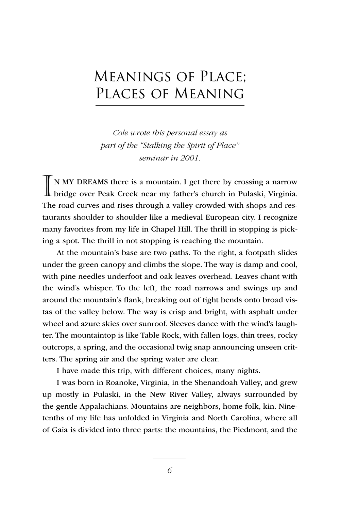## Meanings of Place; Places of Meaning

*Cole wrote this personal essay as part of the "Stalking the Spirit of Place" seminar in 2001.* 

 $\Gamma$  N MY DREAMS there is a mountain. I get there by crossing a narrow bridge over Peak Creek near my father's church in Pulaski, Virginia. The road curves and rises through a valley crowded with shops and restaurants shoulder to shoulder like a medieval European city. I recognize many favorites from my life in Chapel Hill. The thrill in stopping is picking a spot. The thrill in not stopping is reaching the mountain.

At the mountain's base are two paths. To the right, a footpath slides under the green canopy and climbs the slope. The way is damp and cool, with pine needles underfoot and oak leaves overhead. Leaves chant with the wind's whisper. To the left, the road narrows and swings up and around the mountain's flank, breaking out of tight bends onto broad vistas of the valley below. The way is crisp and bright, with asphalt under wheel and azure skies over sunroof. Sleeves dance with the wind's laughter. The mountaintop is like Table Rock, with fallen logs, thin trees, rocky outcrops, a spring, and the occasional twig snap announcing unseen critters. The spring air and the spring water are clear.

I have made this trip, with different choices, many nights.

I was born in Roanoke, Virginia, in the Shenandoah Valley, and grew up mostly in Pulaski, in the New River Valley, always surrounded by the gentle Appalachians. Mountains are neighbors, home folk, kin. Ninetenths of my life has unfolded in Virginia and North Carolina, where all of Gaia is divided into three parts: the mountains, the Piedmont, and the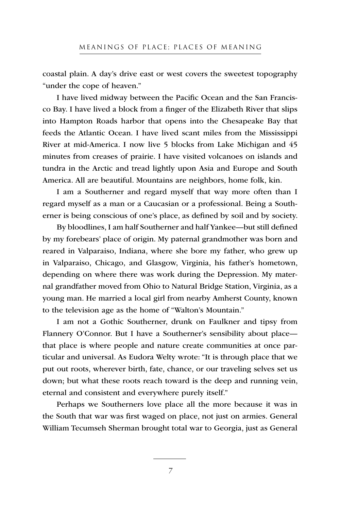coastal plain. A day's drive east or west covers the sweetest topography "under the cope of heaven."

I have lived midway between the Pacific Ocean and the San Francisco Bay. I have lived a block from a finger of the Elizabeth River that slips into Hampton Roads harbor that opens into the Chesapeake Bay that feeds the Atlantic Ocean. I have lived scant miles from the Mississippi River at mid-America. I now live 5 blocks from Lake Michigan and 45 minutes from creases of prairie. I have visited volcanoes on islands and tundra in the Arctic and tread lightly upon Asia and Europe and South America. All are beautiful. Mountains are neighbors, home folk, kin.

I am a Southerner and regard myself that way more often than I regard myself as a man or a Caucasian or a professional. Being a Southerner is being conscious of one's place, as defined by soil and by society.

By bloodlines, I am half Southerner and half Yankee—but still defined by my forebears' place of origin. My paternal grandmother was born and reared in Valparaiso, Indiana, where she bore my father, who grew up in Valparaiso, Chicago, and Glasgow, Virginia, his father's hometown, depending on where there was work during the Depression. My maternal grandfather moved from Ohio to Natural Bridge Station, Virginia, as a young man. He married a local girl from nearby Amherst County, known to the television age as the home of "Walton's Mountain."

I am not a Gothic Southerner, drunk on Faulkner and tipsy from Flannery O'Connor. But I have a Southerner's sensibility about place that place is where people and nature create communities at once particular and universal. As Eudora Welty wrote: "It is through place that we put out roots, wherever birth, fate, chance, or our traveling selves set us down; but what these roots reach toward is the deep and running vein, eternal and consistent and everywhere purely itself."

Perhaps we Southerners love place all the more because it was in the South that war was first waged on place, not just on armies. General William Tecumseh Sherman brought total war to Georgia, just as General